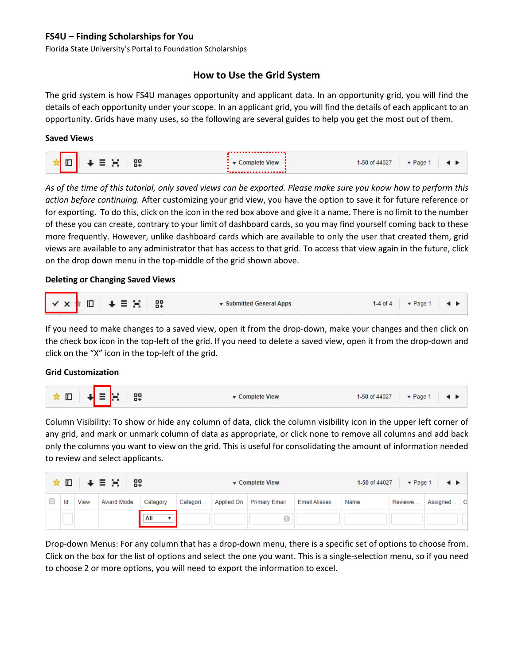# **FS4U – Finding Scholarships for You**

Florida State University's Portal to Foundation Scholarships

# **How to Use the Grid System**

The grid system is how FS4U manages opportunity and applicant data. In an opportunity grid, you will find the details of each opportunity under your scope. In an applicant grid, you will find the details of each applicant to an opportunity. Grids have many uses, so the following are several guides to help you get the most out of them.

### **Saved Views**

| 囗 | 82 | <b>VIEW</b> | 'age<br>440c. |  |  |  |
|---|----|-------------|---------------|--|--|--|
|   |    |             |               |  |  |  |

*As of the time of this tutorial, only saved views can be exported. Please make sure you know how to perform this action before continuing.* After customizing your grid view, you have the option to save it for future reference or for exporting. To do this, click on the icon in the red box above and give it a name. There is no limit to the number of these you can create, contrary to your limit of dashboard cards, so you may find yourself coming back to these more frequently. However, unlike dashboard cards which are available to only the user that created them, grid views are available to any administrator that has access to that grid. To access that view again in the future, click on the drop down menu in the top-middle of the grid shown above.

### **Deleting or Changing Saved Views**

|  |  |  |  | ▼ Submitted General Apps |  | 1-4 of 4 $\blacktriangleright$ Page 1 4 $\blacktriangleright$ |  |
|--|--|--|--|--------------------------|--|---------------------------------------------------------------|--|
|--|--|--|--|--------------------------|--|---------------------------------------------------------------|--|

If you need to make changes to a saved view, open it from the drop-down, make your changes and then click on the check box icon in the top-left of the grid. If you need to delete a saved view, open it from the drop-down and click on the "X" icon in the top-left of the grid.

### **Grid Customization**



Column Visibility: To show or hide any column of data, click the column visibility icon in the upper left corner of any grid, and mark or unmark column of data as appropriate, or click none to remove all columns and add back only the columns you want to view on the grid. This is useful for consolidating the amount of information needed to review and select applicants.

| ★□<br>H ↓ ≣ ∺ H<br>89 |    |             |            |          |          |            | ▼ Complete View      | 1-50 of 44027<br>$\blacktriangledown$ Page 1 $\blacktriangleleft \blacktriangleright$ |      |         |          |          |
|-----------------------|----|-------------|------------|----------|----------|------------|----------------------|---------------------------------------------------------------------------------------|------|---------|----------|----------|
|                       | Id | <b>View</b> | Award Mode | Category | Categori | Applied On | <b>Primary Email</b> | <b>Email Aliases</b>                                                                  | Name | Reviewe | Assigned | <b>C</b> |
|                       |    |             |            | All      |          |            |                      |                                                                                       |      |         |          |          |

Drop-down Menus: For any column that has a drop-down menu, there is a specific set of options to choose from. Click on the box for the list of options and select the one you want. This is a single-selection menu, so if you need to choose 2 or more options, you will need to export the information to excel.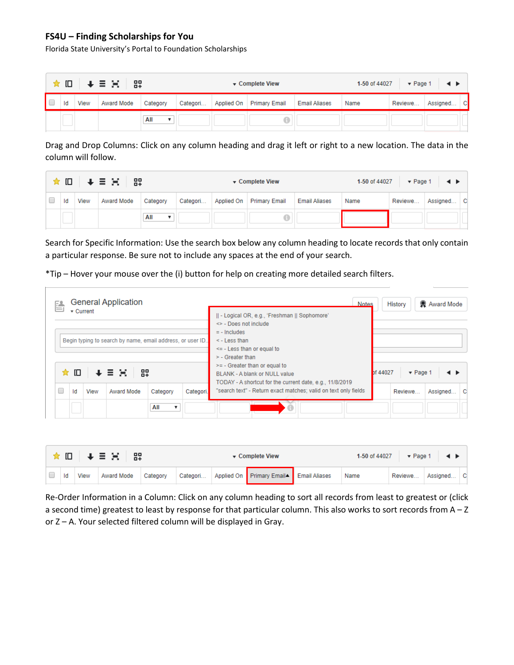## **FS4U – Finding Scholarships for You**

Florida State University's Portal to Foundation Scholarships

|  |      | │ ★ IO │ ↓ N N 3 │ 82│ |          | ▼ Complete View |            |                      |                      | 1-50 of 44027<br>$\sqrt{P}$ Page 1<br>$\rightarrow$ |         |            |  |
|--|------|------------------------|----------|-----------------|------------|----------------------|----------------------|-----------------------------------------------------|---------|------------|--|
|  | View | Award Mode             | Category | Categori        | Applied On | <b>Primary Email</b> | <b>Email Aliases</b> | Name                                                | Reviewe | Assigned C |  |
|  |      |                        | All      |                 |            |                      |                      |                                                     |         |            |  |

Drag and Drop Columns: Click on any column heading and drag it left or right to a new location. The data in the column will follow.

|    |      | ★□→王宫 器           |                       |          |            | ▼ Complete View      | 1-50 of 44027<br>$\blacktriangledown$ Page 1<br>$\rightarrow$ |      |         |          |     |
|----|------|-------------------|-----------------------|----------|------------|----------------------|---------------------------------------------------------------|------|---------|----------|-----|
| ld | View | <b>Award Mode</b> | Category              | Categori | Applied On | <b>Primary Email</b> | <b>Email Aliases</b>                                          | Name | Reviewe | Assigned | ∣ C |
|    |      |                   | All<br>$\blacksquare$ |          |            |                      |                                                               |      |         |          |     |

Search for Specific Information: Use the search box below any column heading to locate records that only contain a particular response. Be sure not to include any spaces at the end of your search.

\*Tip – Hover your mouse over the (i) button for help on creating more detailed search filters.

| 昏                                                          |                               | $\overline{\phantom{a}}$ Current | <b>General Application</b> |          |           | <b>Notes</b><br>   - Logical OR, e.g., 'Freshman    Sophomore'                                                               |                               | <b>History</b> | Award Mode |   |
|------------------------------------------------------------|-------------------------------|----------------------------------|----------------------------|----------|-----------|------------------------------------------------------------------------------------------------------------------------------|-------------------------------|----------------|------------|---|
| Begin typing to search by name, email address, or user ID. |                               |                                  |                            |          |           | $\le$ - Does not include<br>$= -$ Includes<br>$\leq$ - Less than<br>$\leq$ - Less than or equal to<br>$>$ - Greater than     |                               |                |            |   |
|                                                            | 멿<br>旧<br>$+ \equiv \Xi$<br>✿ |                                  |                            |          |           | $>=$ - Greater than or equal to<br>BLANK - A blank or NULL value<br>TODAY - A shortcut for the current date, e.g., 11/8/2019 | of 44027<br>$\sqrt{P}$ Page 1 |                |            |   |
| r                                                          | Id                            | View                             | Award Mode                 | Category | Categori. | "search text" - Return exact matches; valid on text only fields                                                              |                               | Reviewe        | Assigned   | c |
|                                                            |                               |                                  |                            | All      |           |                                                                                                                              |                               |                |            |   |

| ★ Ⅲ   ↓ 三 00   82 |    |      |            |          |          | $\sqrt{\ }$ Complete View |                                         |  |      | 1-50 of 44027<br>$\blacktriangledown$ Page 1 $\blacktriangleleft$ $\blacktriangleright$ |            |  |
|-------------------|----|------|------------|----------|----------|---------------------------|-----------------------------------------|--|------|-----------------------------------------------------------------------------------------|------------|--|
|                   | Id | View | Award Mode | Category | Categori |                           | Applied On Primary Email▲ Email Aliases |  | Name | Reviewe                                                                                 | Assigned C |  |

Re-Order Information in a Column: Click on any column heading to sort all records from least to greatest or (click a second time) greatest to least by response for that particular column. This also works to sort records from A – Z or Z – A. Your selected filtered column will be displayed in Gray.